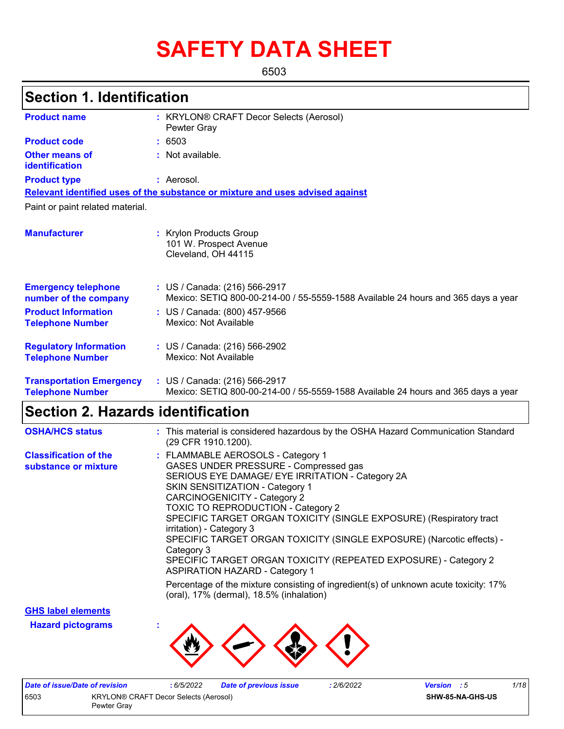# **SAFETY DATA SHEET**

6503

# **Section 1. Identification**

| <b>Product name</b>                                        | : KRYLON® CRAFT Decor Selects (Aerosol)<br>Pewter Gray                                                             |  |  |  |
|------------------------------------------------------------|--------------------------------------------------------------------------------------------------------------------|--|--|--|
| <b>Product code</b>                                        | : 6503                                                                                                             |  |  |  |
| <b>Other means of</b><br>identification                    | : Not available.                                                                                                   |  |  |  |
| <b>Product type</b>                                        | : Aerosol.                                                                                                         |  |  |  |
|                                                            | Relevant identified uses of the substance or mixture and uses advised against                                      |  |  |  |
| Paint or paint related material.                           |                                                                                                                    |  |  |  |
| <b>Manufacturer</b>                                        | : Krylon Products Group<br>101 W. Prospect Avenue<br>Cleveland, OH 44115                                           |  |  |  |
| <b>Emergency telephone</b><br>number of the company        | : US / Canada: (216) 566-2917<br>Mexico: SETIQ 800-00-214-00 / 55-5559-1588 Available 24 hours and 365 days a year |  |  |  |
| <b>Product Information</b><br><b>Telephone Number</b>      | : US / Canada: (800) 457-9566<br>Mexico: Not Available                                                             |  |  |  |
| <b>Regulatory Information</b><br><b>Telephone Number</b>   | : US / Canada: (216) 566-2902<br>Mexico: Not Available                                                             |  |  |  |
| <b>Transportation Emergency</b><br><b>Telephone Number</b> | : US / Canada: (216) 566-2917<br>Mexico: SETIQ 800-00-214-00 / 55-5559-1588 Available 24 hours and 365 days a year |  |  |  |

# **Section 2. Hazards identification**

| <b>OSHA/HCS status</b>                               | : This material is considered hazardous by the OSHA Hazard Communication Standard<br>(29 CFR 1910.1200).                                                                                                                                                                                                                                                                                                                                                                                                                                                           |
|------------------------------------------------------|--------------------------------------------------------------------------------------------------------------------------------------------------------------------------------------------------------------------------------------------------------------------------------------------------------------------------------------------------------------------------------------------------------------------------------------------------------------------------------------------------------------------------------------------------------------------|
| <b>Classification of the</b><br>substance or mixture | : FLAMMABLE AEROSOLS - Category 1<br>GASES UNDER PRESSURE - Compressed gas<br>SERIOUS EYE DAMAGE/ EYE IRRITATION - Category 2A<br><b>SKIN SENSITIZATION - Category 1</b><br><b>CARCINOGENICITY - Category 2</b><br><b>TOXIC TO REPRODUCTION - Category 2</b><br>SPECIFIC TARGET ORGAN TOXICITY (SINGLE EXPOSURE) (Respiratory tract<br>irritation) - Category 3<br>SPECIFIC TARGET ORGAN TOXICITY (SINGLE EXPOSURE) (Narcotic effects) -<br>Category 3<br>SPECIFIC TARGET ORGAN TOXICITY (REPEATED EXPOSURE) - Category 2<br><b>ASPIRATION HAZARD - Category 1</b> |
|                                                      | Percentage of the mixture consisting of ingredient(s) of unknown acute toxicity: 17%<br>(oral), 17% (dermal), 18.5% (inhalation)                                                                                                                                                                                                                                                                                                                                                                                                                                   |

**GHS label elements**

**Hazard pictograms :**



| Date of issue/Date of revision                |             | 6/5/2022 | <b>Date of previous issue</b> | 2/6/2022 | <b>Version</b> : 5 |  | 1/18 |
|-----------------------------------------------|-------------|----------|-------------------------------|----------|--------------------|--|------|
| 6503<br>KRYLON® CRAFT Decor Selects (Aerosol) |             |          |                               |          | SHW-85-NA-GHS-US   |  |      |
|                                               | Pewter Grav |          |                               |          |                    |  |      |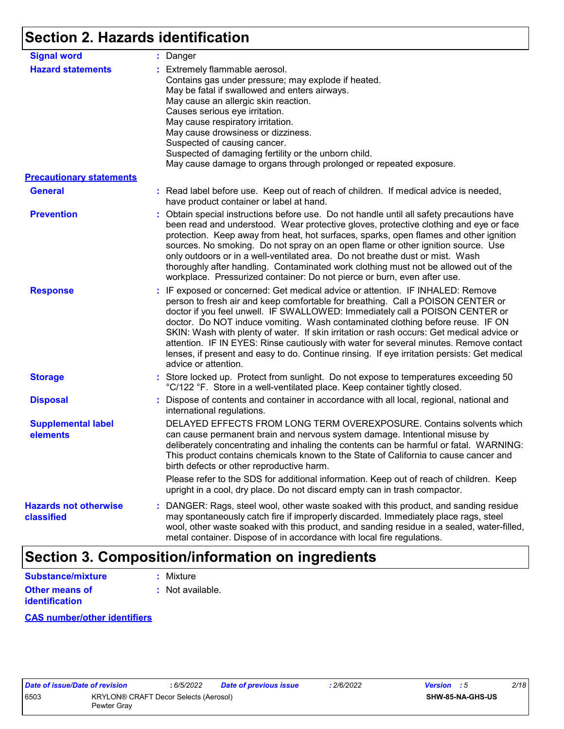# **Section 2. Hazards identification**

| <b>Signal word</b>                         | : Danger                                                                                                                                                                                                                                                                                                                                                                                                                                                                                                                                                                                                                                           |
|--------------------------------------------|----------------------------------------------------------------------------------------------------------------------------------------------------------------------------------------------------------------------------------------------------------------------------------------------------------------------------------------------------------------------------------------------------------------------------------------------------------------------------------------------------------------------------------------------------------------------------------------------------------------------------------------------------|
| <b>Hazard statements</b>                   | : Extremely flammable aerosol.<br>Contains gas under pressure; may explode if heated.<br>May be fatal if swallowed and enters airways.<br>May cause an allergic skin reaction.<br>Causes serious eye irritation.<br>May cause respiratory irritation.<br>May cause drowsiness or dizziness.<br>Suspected of causing cancer.<br>Suspected of damaging fertility or the unborn child.<br>May cause damage to organs through prolonged or repeated exposure.                                                                                                                                                                                          |
| <b>Precautionary statements</b>            |                                                                                                                                                                                                                                                                                                                                                                                                                                                                                                                                                                                                                                                    |
| <b>General</b>                             | : Read label before use. Keep out of reach of children. If medical advice is needed,<br>have product container or label at hand.                                                                                                                                                                                                                                                                                                                                                                                                                                                                                                                   |
| <b>Prevention</b>                          | : Obtain special instructions before use. Do not handle until all safety precautions have<br>been read and understood. Wear protective gloves, protective clothing and eye or face<br>protection. Keep away from heat, hot surfaces, sparks, open flames and other ignition<br>sources. No smoking. Do not spray on an open flame or other ignition source. Use<br>only outdoors or in a well-ventilated area. Do not breathe dust or mist. Wash<br>thoroughly after handling. Contaminated work clothing must not be allowed out of the<br>workplace. Pressurized container: Do not pierce or burn, even after use.                               |
| <b>Response</b>                            | : IF exposed or concerned: Get medical advice or attention. IF INHALED: Remove<br>person to fresh air and keep comfortable for breathing. Call a POISON CENTER or<br>doctor if you feel unwell. IF SWALLOWED: Immediately call a POISON CENTER or<br>doctor. Do NOT induce vomiting. Wash contaminated clothing before reuse. IF ON<br>SKIN: Wash with plenty of water. If skin irritation or rash occurs: Get medical advice or<br>attention. IF IN EYES: Rinse cautiously with water for several minutes. Remove contact<br>lenses, if present and easy to do. Continue rinsing. If eye irritation persists: Get medical<br>advice or attention. |
| <b>Storage</b>                             | : Store locked up. Protect from sunlight. Do not expose to temperatures exceeding 50<br>°C/122 °F. Store in a well-ventilated place. Keep container tightly closed.                                                                                                                                                                                                                                                                                                                                                                                                                                                                                |
| <b>Disposal</b>                            | : Dispose of contents and container in accordance with all local, regional, national and<br>international regulations.                                                                                                                                                                                                                                                                                                                                                                                                                                                                                                                             |
| <b>Supplemental label</b><br>elements      | DELAYED EFFECTS FROM LONG TERM OVEREXPOSURE. Contains solvents which<br>can cause permanent brain and nervous system damage. Intentional misuse by<br>deliberately concentrating and inhaling the contents can be harmful or fatal. WARNING:<br>This product contains chemicals known to the State of California to cause cancer and<br>birth defects or other reproductive harm.                                                                                                                                                                                                                                                                  |
|                                            | Please refer to the SDS for additional information. Keep out of reach of children. Keep<br>upright in a cool, dry place. Do not discard empty can in trash compactor.                                                                                                                                                                                                                                                                                                                                                                                                                                                                              |
| <b>Hazards not otherwise</b><br>classified | : DANGER: Rags, steel wool, other waste soaked with this product, and sanding residue<br>may spontaneously catch fire if improperly discarded. Immediately place rags, steel<br>wool, other waste soaked with this product, and sanding residue in a sealed, water-filled,<br>metal container. Dispose of in accordance with local fire regulations.                                                                                                                                                                                                                                                                                               |

# **Section 3. Composition/information on ingredients**

| Substance/mixture     | : Mixture        |
|-----------------------|------------------|
| <b>Other means of</b> | : Not available. |
| <b>identification</b> |                  |

#### **CAS number/other identifiers**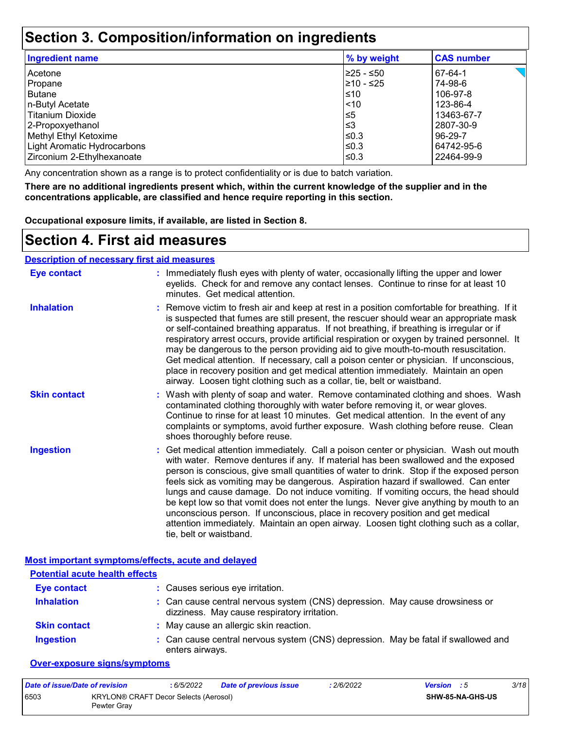### **Section 3. Composition/information on ingredients**

| <b>Ingredient name</b>      | % by weight | <b>CAS number</b> |
|-----------------------------|-------------|-------------------|
| Acetone                     | l≥25 - ≤50  | 67-64-1           |
| Propane                     | l≥10 - ≤25  | 74-98-6           |
| <b>Butane</b>               | ≤10         | 106-97-8          |
| n-Butyl Acetate             | < 10        | 123-86-4          |
| <b>Titanium Dioxide</b>     | $\leq 5$    | 13463-67-7        |
| 2-Propoxyethanol            | ≤3          | 2807-30-9         |
| Methyl Ethyl Ketoxime       | ≤0.3        | 96-29-7           |
| Light Aromatic Hydrocarbons | ≤0.3        | 64742-95-6        |
| Zirconium 2-Ethylhexanoate  | ≤0.3        | 22464-99-9        |

Any concentration shown as a range is to protect confidentiality or is due to batch variation.

**There are no additional ingredients present which, within the current knowledge of the supplier and in the concentrations applicable, are classified and hence require reporting in this section.**

**Occupational exposure limits, if available, are listed in Section 8.**

## **Section 4. First aid measures**

#### **Description of necessary first aid measures**

| <b>Eye contact</b>  | : Immediately flush eyes with plenty of water, occasionally lifting the upper and lower<br>eyelids. Check for and remove any contact lenses. Continue to rinse for at least 10<br>minutes. Get medical attention.                                                                                                                                                                                                                                                                                                                                                                                                                                                                                                                                       |
|---------------------|---------------------------------------------------------------------------------------------------------------------------------------------------------------------------------------------------------------------------------------------------------------------------------------------------------------------------------------------------------------------------------------------------------------------------------------------------------------------------------------------------------------------------------------------------------------------------------------------------------------------------------------------------------------------------------------------------------------------------------------------------------|
| <b>Inhalation</b>   | : Remove victim to fresh air and keep at rest in a position comfortable for breathing. If it<br>is suspected that fumes are still present, the rescuer should wear an appropriate mask<br>or self-contained breathing apparatus. If not breathing, if breathing is irregular or if<br>respiratory arrest occurs, provide artificial respiration or oxygen by trained personnel. It<br>may be dangerous to the person providing aid to give mouth-to-mouth resuscitation.<br>Get medical attention. If necessary, call a poison center or physician. If unconscious,<br>place in recovery position and get medical attention immediately. Maintain an open<br>airway. Loosen tight clothing such as a collar, tie, belt or waistband.                    |
| <b>Skin contact</b> | : Wash with plenty of soap and water. Remove contaminated clothing and shoes. Wash<br>contaminated clothing thoroughly with water before removing it, or wear gloves.<br>Continue to rinse for at least 10 minutes. Get medical attention. In the event of any<br>complaints or symptoms, avoid further exposure. Wash clothing before reuse. Clean<br>shoes thoroughly before reuse.                                                                                                                                                                                                                                                                                                                                                                   |
| <b>Ingestion</b>    | : Get medical attention immediately. Call a poison center or physician. Wash out mouth<br>with water. Remove dentures if any. If material has been swallowed and the exposed<br>person is conscious, give small quantities of water to drink. Stop if the exposed person<br>feels sick as vomiting may be dangerous. Aspiration hazard if swallowed. Can enter<br>lungs and cause damage. Do not induce vomiting. If vomiting occurs, the head should<br>be kept low so that vomit does not enter the lungs. Never give anything by mouth to an<br>unconscious person. If unconscious, place in recovery position and get medical<br>attention immediately. Maintain an open airway. Loosen tight clothing such as a collar,<br>tie, belt or waistband. |

**Most important symptoms/effects, acute and delayed**

| <b>Potential acute health effects</b> |                                                                                                                              |
|---------------------------------------|------------------------------------------------------------------------------------------------------------------------------|
| <b>Eye contact</b>                    | : Causes serious eye irritation.                                                                                             |
| <b>Inhalation</b>                     | : Can cause central nervous system (CNS) depression. May cause drowsiness or<br>dizziness. May cause respiratory irritation. |
| <b>Skin contact</b>                   | : May cause an allergic skin reaction.                                                                                       |
| <b>Ingestion</b>                      | : Can cause central nervous system (CNS) depression. May be fatal if swallowed and<br>enters airways.                        |

#### **Over-exposure signs/symptoms**

| Date of issue/Date of revision |                                                      | 6/5/2022 | <b>Date of previous issue</b> | : 2/6/2022 | <b>Version</b> : 5 |                         | 3/18 |
|--------------------------------|------------------------------------------------------|----------|-------------------------------|------------|--------------------|-------------------------|------|
| 6503                           | KRYLON® CRAFT Decor Selects (Aerosol)<br>Pewter Grav |          |                               |            |                    | <b>SHW-85-NA-GHS-US</b> |      |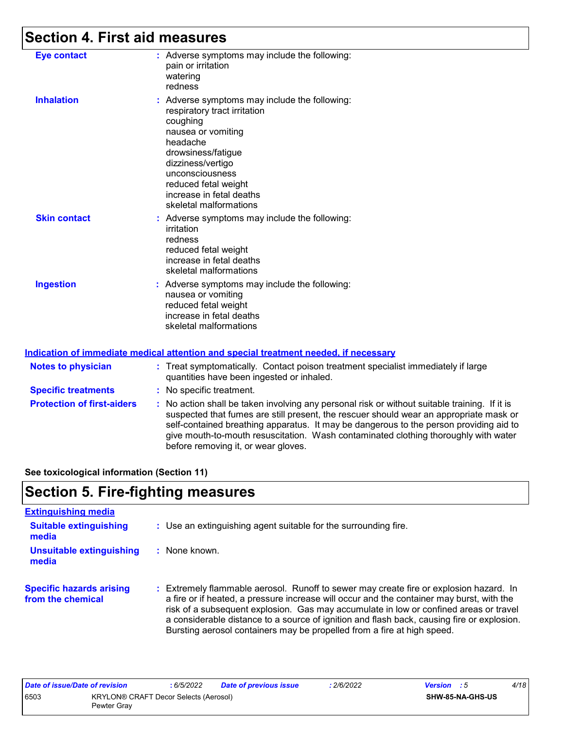# **Section 4. First aid measures**

| <b>Eye contact</b>  | : Adverse symptoms may include the following:<br>pain or irritation<br>watering<br>redness                                                                                                                                                                              |
|---------------------|-------------------------------------------------------------------------------------------------------------------------------------------------------------------------------------------------------------------------------------------------------------------------|
| <b>Inhalation</b>   | : Adverse symptoms may include the following:<br>respiratory tract irritation<br>coughing<br>nausea or vomiting<br>headache<br>drowsiness/fatigue<br>dizziness/vertigo<br>unconsciousness<br>reduced fetal weight<br>increase in fetal deaths<br>skeletal malformations |
| <b>Skin contact</b> | : Adverse symptoms may include the following:<br>irritation<br>redness<br>reduced fetal weight<br>increase in fetal deaths<br>skeletal malformations                                                                                                                    |
| <b>Ingestion</b>    | : Adverse symptoms may include the following:<br>nausea or vomiting<br>reduced fetal weight<br>increase in fetal deaths<br>skeletal malformations                                                                                                                       |

#### **Indication of immediate medical attention and special treatment needed, if necessary**

| <b>Notes to physician</b>         | : Treat symptomatically. Contact poison treatment specialist immediately if large<br>quantities have been ingested or inhaled.                                                                                                                                                                                                                                                                                  |
|-----------------------------------|-----------------------------------------------------------------------------------------------------------------------------------------------------------------------------------------------------------------------------------------------------------------------------------------------------------------------------------------------------------------------------------------------------------------|
| <b>Specific treatments</b>        | : No specific treatment.                                                                                                                                                                                                                                                                                                                                                                                        |
| <b>Protection of first-aiders</b> | : No action shall be taken involving any personal risk or without suitable training. If it is<br>suspected that fumes are still present, the rescuer should wear an appropriate mask or<br>self-contained breathing apparatus. It may be dangerous to the person providing aid to<br>give mouth-to-mouth resuscitation. Wash contaminated clothing thoroughly with water<br>before removing it, or wear gloves. |

**See toxicological information (Section 11)**

# **Section 5. Fire-fighting measures**

| <b>Extinguishing media</b>                           |                                                                                                                                                                                                                                                                                                                                                                                                                                                           |
|------------------------------------------------------|-----------------------------------------------------------------------------------------------------------------------------------------------------------------------------------------------------------------------------------------------------------------------------------------------------------------------------------------------------------------------------------------------------------------------------------------------------------|
| <b>Suitable extinguishing</b><br>media               | : Use an extinguishing agent suitable for the surrounding fire.                                                                                                                                                                                                                                                                                                                                                                                           |
| <b>Unsuitable extinguishing</b><br>media             | : None known.                                                                                                                                                                                                                                                                                                                                                                                                                                             |
| <b>Specific hazards arising</b><br>from the chemical | Extremely flammable aerosol. Runoff to sewer may create fire or explosion hazard. In<br>÷.<br>a fire or if heated, a pressure increase will occur and the container may burst, with the<br>risk of a subsequent explosion. Gas may accumulate in low or confined areas or travel<br>a considerable distance to a source of ignition and flash back, causing fire or explosion.<br>Bursting aerosol containers may be propelled from a fire at high speed. |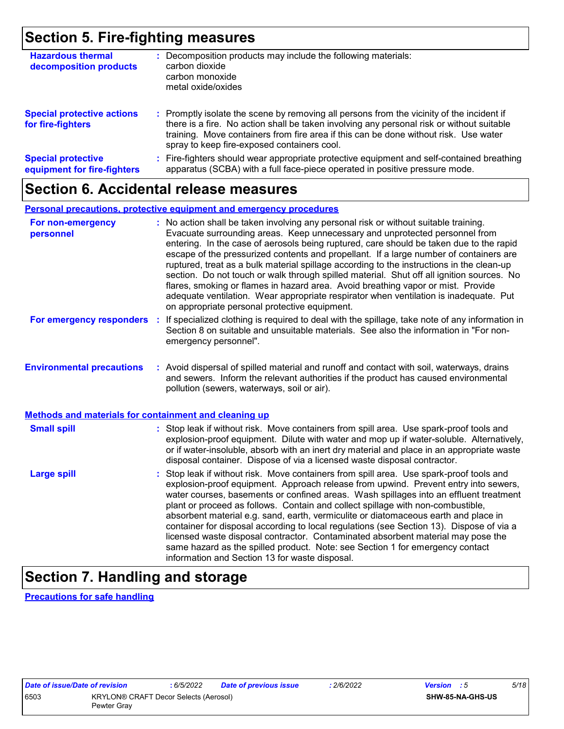## **Section 5. Fire-fighting measures**

| <b>Hazardous thermal</b><br>decomposition products       | : Decomposition products may include the following materials:<br>carbon dioxide<br>carbon monoxide<br>metal oxide/oxides                                                                                                                                                                                                      |
|----------------------------------------------------------|-------------------------------------------------------------------------------------------------------------------------------------------------------------------------------------------------------------------------------------------------------------------------------------------------------------------------------|
| <b>Special protective actions</b><br>for fire-fighters   | : Promptly isolate the scene by removing all persons from the vicinity of the incident if<br>there is a fire. No action shall be taken involving any personal risk or without suitable<br>training. Move containers from fire area if this can be done without risk. Use water<br>spray to keep fire-exposed containers cool. |
| <b>Special protective</b><br>equipment for fire-fighters | : Fire-fighters should wear appropriate protective equipment and self-contained breathing<br>apparatus (SCBA) with a full face-piece operated in positive pressure mode.                                                                                                                                                      |

### **Section 6. Accidental release measures**

#### **Personal precautions, protective equipment and emergency procedures**

| For non-emergency<br>personnel                               | : No action shall be taken involving any personal risk or without suitable training.<br>Evacuate surrounding areas. Keep unnecessary and unprotected personnel from<br>entering. In the case of aerosols being ruptured, care should be taken due to the rapid<br>escape of the pressurized contents and propellant. If a large number of containers are<br>ruptured, treat as a bulk material spillage according to the instructions in the clean-up<br>section. Do not touch or walk through spilled material. Shut off all ignition sources. No<br>flares, smoking or flames in hazard area. Avoid breathing vapor or mist. Provide<br>adequate ventilation. Wear appropriate respirator when ventilation is inadequate. Put<br>on appropriate personal protective equipment. |
|--------------------------------------------------------------|----------------------------------------------------------------------------------------------------------------------------------------------------------------------------------------------------------------------------------------------------------------------------------------------------------------------------------------------------------------------------------------------------------------------------------------------------------------------------------------------------------------------------------------------------------------------------------------------------------------------------------------------------------------------------------------------------------------------------------------------------------------------------------|
| For emergency responders                                     | : If specialized clothing is required to deal with the spillage, take note of any information in<br>Section 8 on suitable and unsuitable materials. See also the information in "For non-<br>emergency personnel".                                                                                                                                                                                                                                                                                                                                                                                                                                                                                                                                                               |
| <b>Environmental precautions</b>                             | : Avoid dispersal of spilled material and runoff and contact with soil, waterways, drains<br>and sewers. Inform the relevant authorities if the product has caused environmental<br>pollution (sewers, waterways, soil or air).                                                                                                                                                                                                                                                                                                                                                                                                                                                                                                                                                  |
| <b>Methods and materials for containment and cleaning up</b> |                                                                                                                                                                                                                                                                                                                                                                                                                                                                                                                                                                                                                                                                                                                                                                                  |
| <b>Small spill</b>                                           | : Stop leak if without risk. Move containers from spill area. Use spark-proof tools and<br>explosion-proof equipment. Dilute with water and mop up if water-soluble. Alternatively,<br>or if water-insoluble, absorb with an inert dry material and place in an appropriate waste<br>disposal container. Dispose of via a licensed waste disposal contractor.                                                                                                                                                                                                                                                                                                                                                                                                                    |
| <b>Large spill</b>                                           | : Stop leak if without risk. Move containers from spill area. Use spark-proof tools and<br>explosion-proof equipment. Approach release from upwind. Prevent entry into sewers,<br>water courses, basements or confined areas. Wash spillages into an effluent treatment<br>plant or proceed as follows. Contain and collect spillage with non-combustible,<br>absorbent material e.g. sand, earth, vermiculite or diatomaceous earth and place in<br>container for disposal according to local regulations (see Section 13). Dispose of via a<br>licensed waste disposal contractor. Contaminated absorbent material may pose the<br>same hazard as the spilled product. Note: see Section 1 for emergency contact<br>information and Section 13 for waste disposal.             |

# **Section 7. Handling and storage**

**Precautions for safe handling**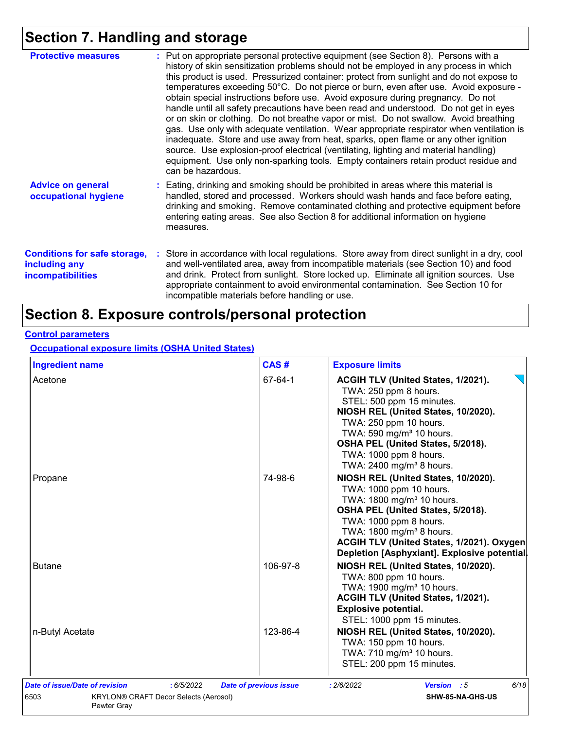# **Section 7. Handling and storage**

| <b>Protective measures</b>                                                       | : Put on appropriate personal protective equipment (see Section 8). Persons with a<br>history of skin sensitization problems should not be employed in any process in which<br>this product is used. Pressurized container: protect from sunlight and do not expose to<br>temperatures exceeding 50°C. Do not pierce or burn, even after use. Avoid exposure -<br>obtain special instructions before use. Avoid exposure during pregnancy. Do not<br>handle until all safety precautions have been read and understood. Do not get in eyes<br>or on skin or clothing. Do not breathe vapor or mist. Do not swallow. Avoid breathing<br>gas. Use only with adequate ventilation. Wear appropriate respirator when ventilation is<br>inadequate. Store and use away from heat, sparks, open flame or any other ignition<br>source. Use explosion-proof electrical (ventilating, lighting and material handling)<br>equipment. Use only non-sparking tools. Empty containers retain product residue and |
|----------------------------------------------------------------------------------|------------------------------------------------------------------------------------------------------------------------------------------------------------------------------------------------------------------------------------------------------------------------------------------------------------------------------------------------------------------------------------------------------------------------------------------------------------------------------------------------------------------------------------------------------------------------------------------------------------------------------------------------------------------------------------------------------------------------------------------------------------------------------------------------------------------------------------------------------------------------------------------------------------------------------------------------------------------------------------------------------|
|                                                                                  | can be hazardous.                                                                                                                                                                                                                                                                                                                                                                                                                                                                                                                                                                                                                                                                                                                                                                                                                                                                                                                                                                                    |
| <b>Advice on general</b><br>occupational hygiene                                 | : Eating, drinking and smoking should be prohibited in areas where this material is<br>handled, stored and processed. Workers should wash hands and face before eating,<br>drinking and smoking. Remove contaminated clothing and protective equipment before<br>entering eating areas. See also Section 8 for additional information on hygiene<br>measures.                                                                                                                                                                                                                                                                                                                                                                                                                                                                                                                                                                                                                                        |
| <b>Conditions for safe storage,</b><br>including any<br><b>incompatibilities</b> | Store in accordance with local regulations. Store away from direct sunlight in a dry, cool<br>and well-ventilated area, away from incompatible materials (see Section 10) and food<br>and drink. Protect from sunlight. Store locked up. Eliminate all ignition sources. Use<br>appropriate containment to avoid environmental contamination. See Section 10 for<br>incompatible materials before handling or use.                                                                                                                                                                                                                                                                                                                                                                                                                                                                                                                                                                                   |

# **Section 8. Exposure controls/personal protection**

#### **Control parameters**

**Occupational exposure limits (OSHA United States)**

| <b>Ingredient name</b>                               | CAS#                          | <b>Exposure limits</b>                      |  |  |  |
|------------------------------------------------------|-------------------------------|---------------------------------------------|--|--|--|
| Acetone                                              | 67-64-1                       | ACGIH TLV (United States, 1/2021).          |  |  |  |
|                                                      |                               | TWA: 250 ppm 8 hours.                       |  |  |  |
|                                                      |                               | STEL: 500 ppm 15 minutes.                   |  |  |  |
|                                                      |                               | NIOSH REL (United States, 10/2020).         |  |  |  |
|                                                      |                               | TWA: 250 ppm 10 hours.                      |  |  |  |
|                                                      |                               | TWA: 590 mg/m <sup>3</sup> 10 hours.        |  |  |  |
|                                                      |                               | OSHA PEL (United States, 5/2018).           |  |  |  |
|                                                      |                               | TWA: 1000 ppm 8 hours.                      |  |  |  |
|                                                      |                               | TWA: 2400 mg/m <sup>3</sup> 8 hours.        |  |  |  |
| Propane                                              | 74-98-6                       | NIOSH REL (United States, 10/2020).         |  |  |  |
|                                                      |                               | TWA: 1000 ppm 10 hours.                     |  |  |  |
|                                                      |                               | TWA: 1800 mg/m <sup>3</sup> 10 hours.       |  |  |  |
|                                                      |                               | OSHA PEL (United States, 5/2018).           |  |  |  |
|                                                      |                               | TWA: 1000 ppm 8 hours.                      |  |  |  |
|                                                      |                               | TWA: 1800 mg/m <sup>3</sup> 8 hours.        |  |  |  |
|                                                      |                               | ACGIH TLV (United States, 1/2021). Oxygen   |  |  |  |
|                                                      |                               | Depletion [Asphyxiant]. Explosive potential |  |  |  |
| <b>Butane</b>                                        | 106-97-8                      | NIOSH REL (United States, 10/2020).         |  |  |  |
|                                                      |                               | TWA: 800 ppm 10 hours.                      |  |  |  |
|                                                      |                               | TWA: 1900 mg/m <sup>3</sup> 10 hours.       |  |  |  |
|                                                      |                               | ACGIH TLV (United States, 1/2021).          |  |  |  |
|                                                      |                               | <b>Explosive potential.</b>                 |  |  |  |
|                                                      |                               | STEL: 1000 ppm 15 minutes.                  |  |  |  |
| n-Butyl Acetate                                      | 123-86-4                      | NIOSH REL (United States, 10/2020).         |  |  |  |
|                                                      |                               | TWA: 150 ppm 10 hours.                      |  |  |  |
|                                                      |                               | TWA: 710 mg/m <sup>3</sup> 10 hours.        |  |  |  |
|                                                      |                               | STEL: 200 ppm 15 minutes.                   |  |  |  |
| <b>Date of issue/Date of revision</b><br>: 6/5/2022  | <b>Date of previous issue</b> | 6/18<br>: 2/6/2022<br>Version : 5           |  |  |  |
| <b>KRYLON® CRAFT Decor Selects (Aerosol)</b><br>6503 |                               | SHW-85-NA-GHS-US                            |  |  |  |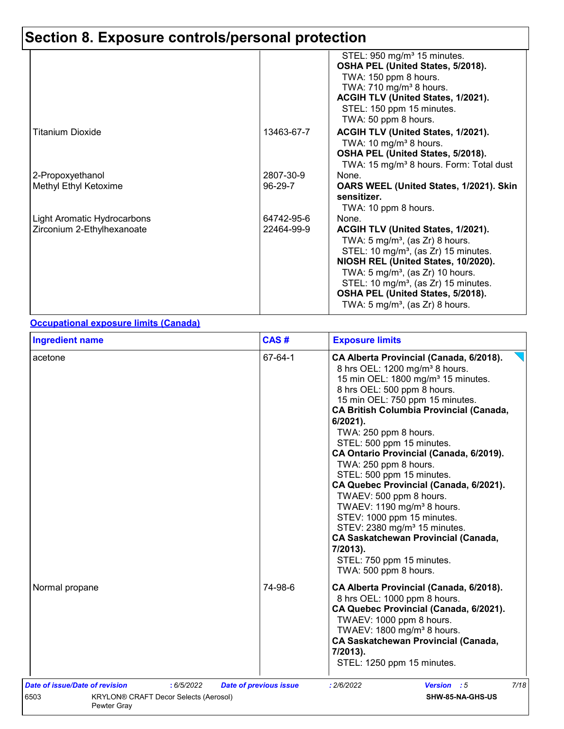|                             |            | STEL: 950 mg/m <sup>3</sup> 15 minutes.<br>OSHA PEL (United States, 5/2018). |
|-----------------------------|------------|------------------------------------------------------------------------------|
|                             |            | TWA: 150 ppm 8 hours.                                                        |
|                             |            | TWA: 710 mg/m <sup>3</sup> 8 hours.                                          |
|                             |            | ACGIH TLV (United States, 1/2021).                                           |
|                             |            | STEL: 150 ppm 15 minutes.                                                    |
|                             |            | TWA: 50 ppm 8 hours.                                                         |
| Titanium Dioxide            | 13463-67-7 | ACGIH TLV (United States, 1/2021).                                           |
|                             |            | TWA: 10 mg/m <sup>3</sup> 8 hours.                                           |
|                             |            | OSHA PEL (United States, 5/2018).                                            |
|                             |            | TWA: 15 mg/m <sup>3</sup> 8 hours. Form: Total dust                          |
| 2-Propoxyethanol            | 2807-30-9  | None.                                                                        |
| Methyl Ethyl Ketoxime       | 96-29-7    | OARS WEEL (United States, 1/2021). Skin                                      |
|                             |            | sensitizer.                                                                  |
|                             |            | TWA: 10 ppm 8 hours.                                                         |
| Light Aromatic Hydrocarbons | 64742-95-6 | None.                                                                        |
| Zirconium 2-Ethylhexanoate  | 22464-99-9 | ACGIH TLV (United States, 1/2021).                                           |
|                             |            | TWA: 5 mg/m <sup>3</sup> , (as Zr) 8 hours.                                  |
|                             |            | STEL: 10 mg/m <sup>3</sup> , (as Zr) 15 minutes.                             |
|                             |            | NIOSH REL (United States, 10/2020).                                          |
|                             |            | TWA: $5 \text{ mg/m}^3$ , (as Zr) 10 hours.                                  |
|                             |            | STEL: 10 mg/m <sup>3</sup> , (as Zr) 15 minutes.                             |
|                             |            | OSHA PEL (United States, 5/2018).                                            |
|                             |            | TWA: $5 \text{ mg/m}^3$ , (as Zr) 8 hours.                                   |

#### **Occupational exposure limits (Canada)**

| <b>Ingredient name</b>                                                                                                     | CAS#                          | <b>Exposure limits</b>                                                                                                                                                                                                                                                                                                                                                                                                                                                                                                                                                                                                                                                                                                                  |
|----------------------------------------------------------------------------------------------------------------------------|-------------------------------|-----------------------------------------------------------------------------------------------------------------------------------------------------------------------------------------------------------------------------------------------------------------------------------------------------------------------------------------------------------------------------------------------------------------------------------------------------------------------------------------------------------------------------------------------------------------------------------------------------------------------------------------------------------------------------------------------------------------------------------------|
| acetone                                                                                                                    | 67-64-1                       | CA Alberta Provincial (Canada, 6/2018).<br>8 hrs OEL: 1200 mg/m <sup>3</sup> 8 hours.<br>15 min OEL: 1800 mg/m <sup>3</sup> 15 minutes.<br>8 hrs OEL: 500 ppm 8 hours.<br>15 min OEL: 750 ppm 15 minutes.<br><b>CA British Columbia Provincial (Canada,</b><br>6/2021).<br>TWA: 250 ppm 8 hours.<br>STEL: 500 ppm 15 minutes.<br>CA Ontario Provincial (Canada, 6/2019).<br>TWA: 250 ppm 8 hours.<br>STEL: 500 ppm 15 minutes.<br>CA Quebec Provincial (Canada, 6/2021).<br>TWAEV: 500 ppm 8 hours.<br>TWAEV: 1190 mg/m <sup>3</sup> 8 hours.<br>STEV: 1000 ppm 15 minutes.<br>STEV: 2380 mg/m <sup>3</sup> 15 minutes.<br><b>CA Saskatchewan Provincial (Canada,</b><br>7/2013).<br>STEL: 750 ppm 15 minutes.<br>TWA: 500 ppm 8 hours. |
| Normal propane                                                                                                             | 74-98-6                       | CA Alberta Provincial (Canada, 6/2018).<br>8 hrs OEL: 1000 ppm 8 hours.<br>CA Quebec Provincial (Canada, 6/2021).<br>TWAEV: 1000 ppm 8 hours.<br>TWAEV: 1800 mg/m <sup>3</sup> 8 hours.<br><b>CA Saskatchewan Provincial (Canada,</b><br>7/2013).<br>STEL: 1250 ppm 15 minutes.                                                                                                                                                                                                                                                                                                                                                                                                                                                         |
| <b>Date of issue/Date of revision</b><br>: 6/5/2022<br>6503<br><b>KRYLON® CRAFT Decor Selects (Aerosol)</b><br>Pewter Gray | <b>Date of previous issue</b> | 7/18<br>: 2/6/2022<br><b>Version</b> : 5<br>SHW-85-NA-GHS-US                                                                                                                                                                                                                                                                                                                                                                                                                                                                                                                                                                                                                                                                            |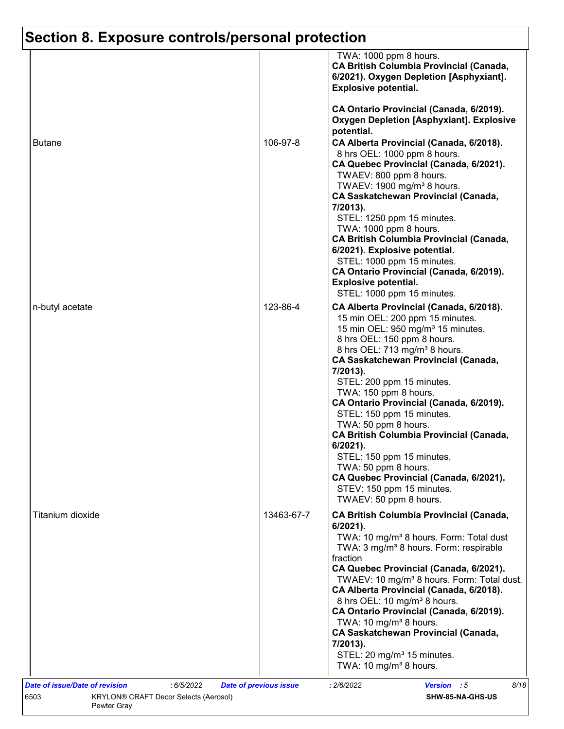|                  |            | TWA: 1000 ppm 8 hours.<br><b>CA British Columbia Provincial (Canada,</b><br>6/2021). Oxygen Depletion [Asphyxiant].<br><b>Explosive potential.</b>                                                                                                                                                                                                                                                                                                                                                                                                                                                                                             |
|------------------|------------|------------------------------------------------------------------------------------------------------------------------------------------------------------------------------------------------------------------------------------------------------------------------------------------------------------------------------------------------------------------------------------------------------------------------------------------------------------------------------------------------------------------------------------------------------------------------------------------------------------------------------------------------|
|                  |            | CA Ontario Provincial (Canada, 6/2019).<br><b>Oxygen Depletion [Asphyxiant]. Explosive</b><br>potential.                                                                                                                                                                                                                                                                                                                                                                                                                                                                                                                                       |
| <b>Butane</b>    | 106-97-8   | CA Alberta Provincial (Canada, 6/2018).<br>8 hrs OEL: 1000 ppm 8 hours.<br>CA Quebec Provincial (Canada, 6/2021).<br>TWAEV: 800 ppm 8 hours.<br>TWAEV: 1900 mg/m <sup>3</sup> 8 hours.<br><b>CA Saskatchewan Provincial (Canada,</b><br>7/2013).<br>STEL: 1250 ppm 15 minutes.<br>TWA: 1000 ppm 8 hours.<br><b>CA British Columbia Provincial (Canada,</b><br>6/2021). Explosive potential.<br>STEL: 1000 ppm 15 minutes.<br>CA Ontario Provincial (Canada, 6/2019).<br><b>Explosive potential.</b><br>STEL: 1000 ppm 15 minutes.                                                                                                              |
| n-butyl acetate  | 123-86-4   | CA Alberta Provincial (Canada, 6/2018).<br>15 min OEL: 200 ppm 15 minutes.<br>15 min OEL: 950 mg/m <sup>3</sup> 15 minutes.<br>8 hrs OEL: 150 ppm 8 hours.<br>8 hrs OEL: 713 mg/m <sup>3</sup> 8 hours.<br><b>CA Saskatchewan Provincial (Canada,</b><br>7/2013).<br>STEL: 200 ppm 15 minutes.<br>TWA: 150 ppm 8 hours.<br>CA Ontario Provincial (Canada, 6/2019).<br>STEL: 150 ppm 15 minutes.<br>TWA: 50 ppm 8 hours.<br><b>CA British Columbia Provincial (Canada,</b><br>$6/2021$ ).<br>STEL: 150 ppm 15 minutes.<br>TWA: 50 ppm 8 hours.<br>CA Quebec Provincial (Canada, 6/2021).<br>STEV: 150 ppm 15 minutes.<br>TWAEV: 50 ppm 8 hours. |
| Titanium dioxide | 13463-67-7 | <b>CA British Columbia Provincial (Canada,</b><br>6/2021).<br>TWA: 10 mg/m <sup>3</sup> 8 hours. Form: Total dust<br>TWA: 3 mg/m <sup>3</sup> 8 hours. Form: respirable<br>fraction<br>CA Quebec Provincial (Canada, 6/2021).<br>TWAEV: 10 mg/m <sup>3</sup> 8 hours. Form: Total dust.<br>CA Alberta Provincial (Canada, 6/2018).<br>8 hrs OEL: 10 mg/m <sup>3</sup> 8 hours.<br>CA Ontario Provincial (Canada, 6/2019).<br>TWA: 10 mg/m <sup>3</sup> 8 hours.<br><b>CA Saskatchewan Provincial (Canada,</b><br>7/2013).<br>STEL: 20 mg/m <sup>3</sup> 15 minutes.<br>TWA: 10 mg/m <sup>3</sup> 8 hours.                                      |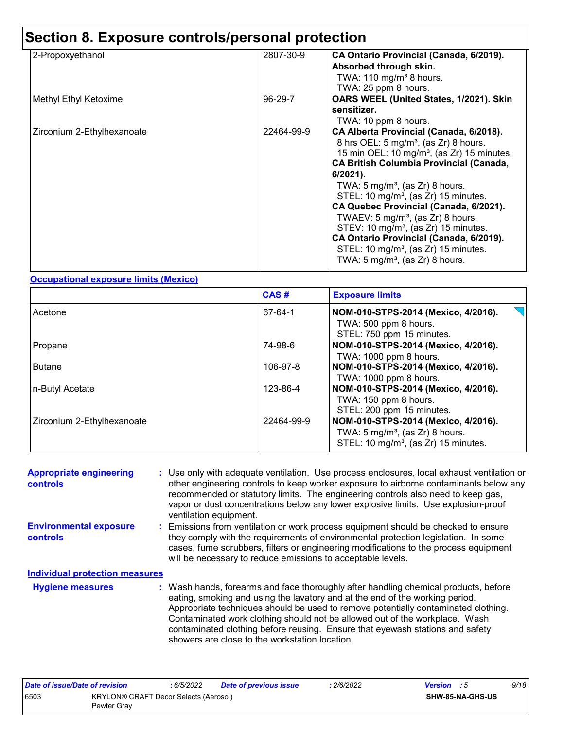| 2-Propoxyethanol           | 2807-30-9  | CA Ontario Provincial (Canada, 6/2019).<br>Absorbed through skin.                                                                                                                                                                                                                                                                                                                                                                                                                                                                                                                                                                            |
|----------------------------|------------|----------------------------------------------------------------------------------------------------------------------------------------------------------------------------------------------------------------------------------------------------------------------------------------------------------------------------------------------------------------------------------------------------------------------------------------------------------------------------------------------------------------------------------------------------------------------------------------------------------------------------------------------|
|                            |            | TWA: $110$ mg/m <sup>3</sup> 8 hours.<br>TWA: 25 ppm 8 hours.                                                                                                                                                                                                                                                                                                                                                                                                                                                                                                                                                                                |
| Methyl Ethyl Ketoxime      | 96-29-7    | OARS WEEL (United States, 1/2021). Skin<br>sensitizer.                                                                                                                                                                                                                                                                                                                                                                                                                                                                                                                                                                                       |
| Zirconium 2-Ethylhexanoate | 22464-99-9 | TWA: 10 ppm 8 hours.<br>CA Alberta Provincial (Canada, 6/2018).<br>8 hrs OEL: 5 mg/m <sup>3</sup> , (as Zr) 8 hours.<br>15 min OEL: 10 mg/m <sup>3</sup> , (as Zr) 15 minutes.<br><b>CA British Columbia Provincial (Canada,</b><br>$6/2021$ ).<br>TWA: $5 \text{ mg/m}^3$ , (as Zr) 8 hours.<br>STEL: 10 mg/m <sup>3</sup> , (as Zr) 15 minutes.<br>CA Quebec Provincial (Canada, 6/2021).<br>TWAEV: $5 \text{ mg/m}^3$ , (as Zr) 8 hours.<br>STEV: 10 mg/m <sup>3</sup> , (as Zr) 15 minutes.<br>CA Ontario Provincial (Canada, 6/2019).<br>STEL: 10 mg/m <sup>3</sup> , (as Zr) 15 minutes.<br>TWA: $5 \text{ mg/m}^3$ , (as Zr) 8 hours. |

#### **Occupational exposure limits (Mexico)**

|                            | CAS#       | <b>Exposure limits</b>                                                                                                                |
|----------------------------|------------|---------------------------------------------------------------------------------------------------------------------------------------|
| Acetone                    | 67-64-1    | NOM-010-STPS-2014 (Mexico, 4/2016).<br>TWA: 500 ppm 8 hours.<br>STEL: 750 ppm 15 minutes.                                             |
| Propane                    | 74-98-6    | NOM-010-STPS-2014 (Mexico, 4/2016).<br>TWA: 1000 ppm 8 hours.                                                                         |
| <b>Butane</b>              | 106-97-8   | NOM-010-STPS-2014 (Mexico, 4/2016).<br>TWA: 1000 ppm 8 hours.                                                                         |
| n-Butyl Acetate            | 123-86-4   | NOM-010-STPS-2014 (Mexico, 4/2016).<br>TWA: 150 ppm 8 hours.<br>STEL: 200 ppm 15 minutes.                                             |
| Zirconium 2-Ethylhexanoate | 22464-99-9 | NOM-010-STPS-2014 (Mexico, 4/2016).<br>TWA: $5 \text{ mg/m}^3$ , (as Zr) 8 hours.<br>STEL: 10 mg/m <sup>3</sup> , (as Zr) 15 minutes. |

| <b>Appropriate engineering</b><br><b>controls</b> | : Use only with adequate ventilation. Use process enclosures, local exhaust ventilation or<br>other engineering controls to keep worker exposure to airborne contaminants below any<br>recommended or statutory limits. The engineering controls also need to keep gas,<br>vapor or dust concentrations below any lower explosive limits. Use explosion-proof<br>ventilation equipment.                                                                                     |
|---------------------------------------------------|-----------------------------------------------------------------------------------------------------------------------------------------------------------------------------------------------------------------------------------------------------------------------------------------------------------------------------------------------------------------------------------------------------------------------------------------------------------------------------|
| <b>Environmental exposure</b><br><b>controls</b>  | : Emissions from ventilation or work process equipment should be checked to ensure<br>they comply with the requirements of environmental protection legislation. In some<br>cases, fume scrubbers, filters or engineering modifications to the process equipment<br>will be necessary to reduce emissions to acceptable levels.                                                                                                                                             |
| <b>Individual protection measures</b>             |                                                                                                                                                                                                                                                                                                                                                                                                                                                                             |
| <b>Hygiene measures</b>                           | : Wash hands, forearms and face thoroughly after handling chemical products, before<br>eating, smoking and using the lavatory and at the end of the working period.<br>Appropriate techniques should be used to remove potentially contaminated clothing.<br>Contaminated work clothing should not be allowed out of the workplace. Wash<br>contaminated clothing before reusing. Ensure that eyewash stations and safety<br>showers are close to the workstation location. |

| Date of issue/Date of revision |                                                      | 6/5/2022 | Date of previous issue | 2/6/2022 | <b>Version</b> : 5 |                  | 9/18 |
|--------------------------------|------------------------------------------------------|----------|------------------------|----------|--------------------|------------------|------|
| 6503                           | KRYLON® CRAFT Decor Selects (Aerosol)<br>Pewter Grav |          |                        |          |                    | SHW-85-NA-GHS-US |      |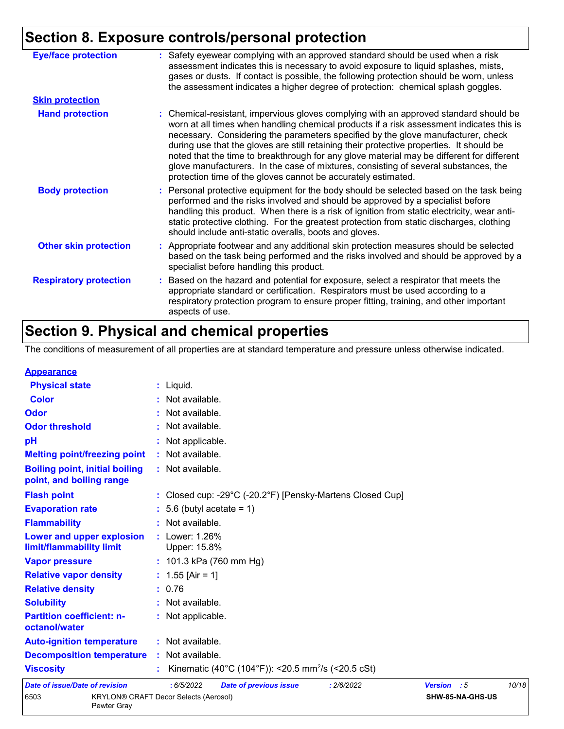| <b>Eye/face protection</b>    | : Safety eyewear complying with an approved standard should be used when a risk<br>assessment indicates this is necessary to avoid exposure to liquid splashes, mists,<br>gases or dusts. If contact is possible, the following protection should be worn, unless<br>the assessment indicates a higher degree of protection: chemical splash goggles.                                                                                                                                                                                                                                                                  |
|-------------------------------|------------------------------------------------------------------------------------------------------------------------------------------------------------------------------------------------------------------------------------------------------------------------------------------------------------------------------------------------------------------------------------------------------------------------------------------------------------------------------------------------------------------------------------------------------------------------------------------------------------------------|
| <b>Skin protection</b>        |                                                                                                                                                                                                                                                                                                                                                                                                                                                                                                                                                                                                                        |
| <b>Hand protection</b>        | : Chemical-resistant, impervious gloves complying with an approved standard should be<br>worn at all times when handling chemical products if a risk assessment indicates this is<br>necessary. Considering the parameters specified by the glove manufacturer, check<br>during use that the gloves are still retaining their protective properties. It should be<br>noted that the time to breakthrough for any glove material may be different for different<br>glove manufacturers. In the case of mixtures, consisting of several substances, the<br>protection time of the gloves cannot be accurately estimated. |
| <b>Body protection</b>        | : Personal protective equipment for the body should be selected based on the task being<br>performed and the risks involved and should be approved by a specialist before<br>handling this product. When there is a risk of ignition from static electricity, wear anti-<br>static protective clothing. For the greatest protection from static discharges, clothing<br>should include anti-static overalls, boots and gloves.                                                                                                                                                                                         |
| <b>Other skin protection</b>  | : Appropriate footwear and any additional skin protection measures should be selected<br>based on the task being performed and the risks involved and should be approved by a<br>specialist before handling this product.                                                                                                                                                                                                                                                                                                                                                                                              |
| <b>Respiratory protection</b> | : Based on the hazard and potential for exposure, select a respirator that meets the<br>appropriate standard or certification. Respirators must be used according to a<br>respiratory protection program to ensure proper fitting, training, and other important<br>aspects of use.                                                                                                                                                                                                                                                                                                                                    |

# **Section 9. Physical and chemical properties**

Pewter Gray

The conditions of measurement of all properties are at standard temperature and pressure unless otherwise indicated.

| <b>Appearance</b>                                                 |                                                                                   |
|-------------------------------------------------------------------|-----------------------------------------------------------------------------------|
| <b>Physical state</b>                                             | $:$ Liquid.                                                                       |
| <b>Color</b>                                                      | : Not available.                                                                  |
| Odor                                                              | : Not available.                                                                  |
| <b>Odor threshold</b>                                             | : Not available.                                                                  |
| pH                                                                | : Not applicable.                                                                 |
| <b>Melting point/freezing point</b>                               | : Not available.                                                                  |
| <b>Boiling point, initial boiling</b><br>point, and boiling range | : Not available.                                                                  |
| <b>Flash point</b>                                                | : Closed cup: -29°C (-20.2°F) [Pensky-Martens Closed Cup]                         |
| <b>Evaporation rate</b>                                           | $: 5.6$ (butyl acetate = 1)                                                       |
| <b>Flammability</b>                                               | : Not available.                                                                  |
| Lower and upper explosion<br>limit/flammability limit             | : Lower: 1.26%<br>Upper: 15.8%                                                    |
| <b>Vapor pressure</b>                                             | : $101.3$ kPa (760 mm Hg)                                                         |
| <b>Relative vapor density</b>                                     | : $1.55$ [Air = 1]                                                                |
| <b>Relative density</b>                                           | : 0.76                                                                            |
| <b>Solubility</b>                                                 | : Not available.                                                                  |
| <b>Partition coefficient: n-</b><br>octanol/water                 | : Not applicable.                                                                 |
| <b>Auto-ignition temperature</b>                                  | : Not available.                                                                  |
| <b>Decomposition temperature</b>                                  | : Not available.                                                                  |
| <b>Viscosity</b>                                                  | Kinematic (40°C (104°F)): <20.5 mm <sup>2</sup> /s (<20.5 cSt)                    |
| <b>Date of issue/Date of revision</b>                             | : 6/5/2022<br>10/18<br><b>Date of previous issue</b><br>: 2/6/2022<br>Version : 5 |
| 6503                                                              | KRYLON® CRAFT Decor Selects (Aerosol)<br>SHW-85-NA-GHS-US                         |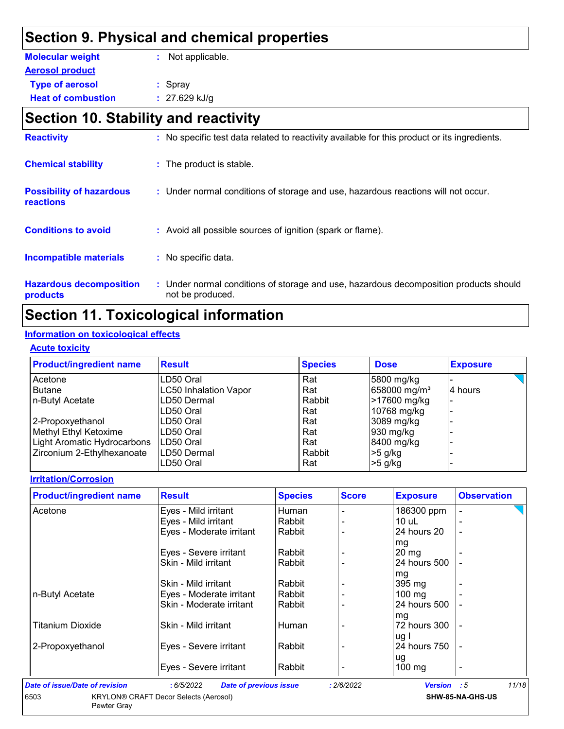## **Section 9. Physical and chemical properties**

| <b>Molecular weight</b>   | : Not applicable. |
|---------------------------|-------------------|
| <b>Aerosol product</b>    |                   |
| <b>Type of aerosol</b>    | : Spray           |
| <b>Heat of combustion</b> | $: 27.629$ kJ/g   |

# **Section 10. Stability and reactivity**

| <b>Hazardous decomposition</b><br>products   | : Under normal conditions of storage and use, hazardous decomposition products should<br>not be produced. |
|----------------------------------------------|-----------------------------------------------------------------------------------------------------------|
| <b>Incompatible materials</b>                | : No specific data.                                                                                       |
| <b>Conditions to avoid</b>                   | : Avoid all possible sources of ignition (spark or flame).                                                |
| <b>Possibility of hazardous</b><br>reactions | : Under normal conditions of storage and use, hazardous reactions will not occur.                         |
| <b>Chemical stability</b>                    | : The product is stable.                                                                                  |
| <b>Reactivity</b>                            | : No specific test data related to reactivity available for this product or its ingredients.              |

## **Section 11. Toxicological information**

#### **Information on toxicological effects**

#### **Acute toxicity**

| <b>Product/ingredient name</b> | <b>Result</b>                | <b>Species</b> | <b>Dose</b>              | <b>Exposure</b> |
|--------------------------------|------------------------------|----------------|--------------------------|-----------------|
| Acetone                        | LD50 Oral                    | Rat            | 5800 mg/kg               |                 |
| Butane                         | <b>LC50 Inhalation Vapor</b> | Rat            | 658000 mg/m <sup>3</sup> | 4 hours         |
| n-Butyl Acetate                | LD50 Dermal                  | Rabbit         | >17600 mg/kg             |                 |
|                                | LD50 Oral                    | Rat            | 10768 mg/kg              |                 |
| 2-Propoxyethanol               | LD50 Oral                    | Rat            | 3089 mg/kg               |                 |
| Methyl Ethyl Ketoxime          | ILD50 Oral                   | Rat            | 930 mg/kg                |                 |
| Light Aromatic Hydrocarbons    | ILD50 Oral                   | Rat            | 8400 mg/kg               |                 |
| Zirconium 2-Ethylhexanoate     | ILD50 Dermal                 | Rabbit         | $>5$ g/kg                |                 |
|                                | LD50 Oral                    | Rat            | $>5$ g/kg                |                 |

#### **Irritation/Corrosion**

| <b>Product/ingredient name</b> | <b>Result</b>            | <b>Species</b> | <b>Score</b> | <b>Exposure</b>  | <b>Observation</b> |
|--------------------------------|--------------------------|----------------|--------------|------------------|--------------------|
| Acetone                        | Eyes - Mild irritant     | Human          |              | 186300 ppm       |                    |
|                                | Eyes - Mild irritant     | Rabbit         |              | $10$ uL          |                    |
|                                | Eyes - Moderate irritant | Rabbit         |              | 24 hours 20      |                    |
|                                |                          |                |              | mg               |                    |
|                                | Eyes - Severe irritant   | Rabbit         |              | $20 \text{ mg}$  |                    |
|                                | Skin - Mild irritant     | Rabbit         |              | 24 hours 500     |                    |
|                                |                          |                |              | mg               |                    |
|                                | Skin - Mild irritant     | Rabbit         |              | 395 mg           |                    |
| n-Butyl Acetate                | Eyes - Moderate irritant | Rabbit         |              | $100 \text{ mg}$ |                    |
|                                | Skin - Moderate irritant | Rabbit         |              | 24 hours 500     |                    |
|                                |                          |                |              | mg               |                    |
| <b>Titanium Dioxide</b>        | Skin - Mild irritant     | Human          |              | 72 hours 300     |                    |
|                                |                          |                |              | ug I             |                    |
| 2-Propoxyethanol               | Eyes - Severe irritant   | Rabbit         |              | 24 hours 750     |                    |
|                                |                          |                |              | ug               |                    |
|                                | Eyes - Severe irritant   | Rabbit         |              | $100 \text{ mg}$ | ٠                  |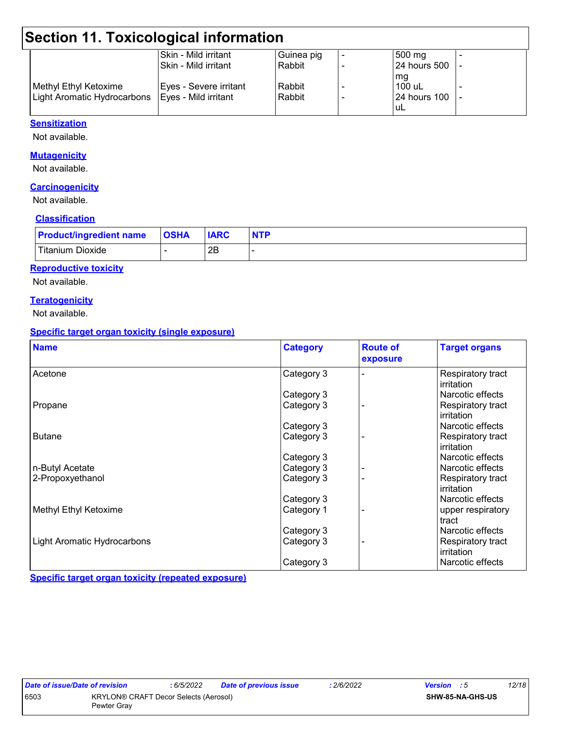# **Section 11. Toxicological information**

|                             | Skin - Mild irritant   | Guinea pig | 500 mg              |  |
|-----------------------------|------------------------|------------|---------------------|--|
|                             | ISkin - Mild irritant  | Rabbit     | <b>24 hours 500</b> |  |
|                             |                        |            | mg                  |  |
| Methyl Ethyl Ketoxime       | Eyes - Severe irritant | Rabbit     | <sup>1</sup> 100 uL |  |
| Light Aromatic Hydrocarbons | Eyes - Mild irritant   | Rabbit     | <b>24 hours 100</b> |  |
|                             |                        |            | 'uL                 |  |

#### **Sensitization**

Not available.

#### **Mutagenicity**

Not available.

#### **Carcinogenicity**

Not available.

#### **Classification**

| <b>Product/ingredient name</b> | <b>OSHA</b> | <b>IARC</b> |  |
|--------------------------------|-------------|-------------|--|
| <b>Titanium Dioxide</b>        |             | 2E          |  |

#### **Reproductive toxicity**

Not available.

#### **Teratogenicity**

Not available.

#### **Specific target organ toxicity (single exposure)**

| <b>Name</b>                 | <b>Category</b> | <b>Route of</b><br>exposure | <b>Target organs</b>            |
|-----------------------------|-----------------|-----------------------------|---------------------------------|
| Acetone                     | Category 3      |                             | Respiratory tract<br>irritation |
|                             | Category 3      |                             | Narcotic effects                |
| Propane                     | Category 3      |                             | Respiratory tract<br>irritation |
|                             | Category 3      |                             | Narcotic effects                |
| <b>Butane</b>               | Category 3      |                             | Respiratory tract<br>irritation |
|                             | Category 3      |                             | Narcotic effects                |
| n-Butyl Acetate             | Category 3      |                             | Narcotic effects                |
| 2-Propoxyethanol            | Category 3      |                             | Respiratory tract<br>irritation |
|                             | Category 3      |                             | Narcotic effects                |
| Methyl Ethyl Ketoxime       | Category 1      |                             | upper respiratory<br>tract      |
|                             | Category 3      |                             | Narcotic effects                |
| Light Aromatic Hydrocarbons | Category 3      |                             | Respiratory tract<br>irritation |
|                             | Category 3      |                             | Narcotic effects                |

**Specific target organ toxicity (repeated exposure)**

| Date of issue/Date of revision |                                                             | 6/5/2022 | <b>Date of previous issue</b> | 2/6/2022 | Version |                         | 12/18 |
|--------------------------------|-------------------------------------------------------------|----------|-------------------------------|----------|---------|-------------------------|-------|
| 6503                           | <b>KRYLON® CRAFT Decor Selects (Aerosol)</b><br>Pewter Grav |          |                               |          |         | <b>SHW-85-NA-GHS-US</b> |       |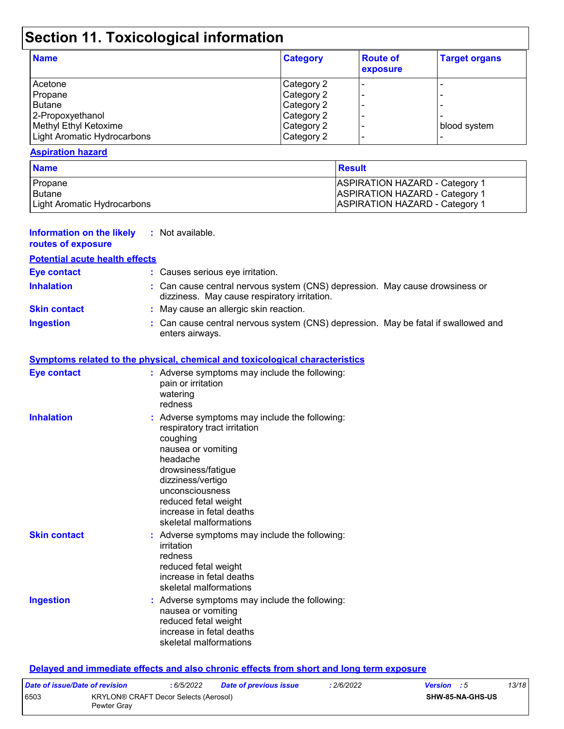# **Section 11. Toxicological information**

| <b>Name</b>                 | <b>Category</b> | <b>Route of</b><br>exposure | <b>Target organs</b> |
|-----------------------------|-----------------|-----------------------------|----------------------|
| Acetone                     | Category 2      |                             |                      |
| Propane                     | Category 2      |                             |                      |
| l Butane                    | Category 2      |                             |                      |
| 2-Propoxyethanol            | Category 2      |                             |                      |
| Methyl Ethyl Ketoxime       | Category 2      |                             | blood system         |
| Light Aromatic Hydrocarbons | Category 2      |                             |                      |

#### **Aspiration hazard**

| <b>Name</b>                 | <b>Result</b>                         |
|-----------------------------|---------------------------------------|
| Propane                     | <b>ASPIRATION HAZARD - Category 1</b> |
| <b>Butane</b>               | <b>ASPIRATION HAZARD - Category 1</b> |
| Light Aromatic Hydrocarbons | <b>ASPIRATION HAZARD - Category 1</b> |

| Information on the likely<br>routes of exposure | : Not available.                                                                                                                                                                                                                                                        |
|-------------------------------------------------|-------------------------------------------------------------------------------------------------------------------------------------------------------------------------------------------------------------------------------------------------------------------------|
| <b>Potential acute health effects</b>           |                                                                                                                                                                                                                                                                         |
| <b>Eye contact</b>                              | : Causes serious eye irritation.                                                                                                                                                                                                                                        |
| <b>Inhalation</b>                               | : Can cause central nervous system (CNS) depression. May cause drowsiness or<br>dizziness. May cause respiratory irritation.                                                                                                                                            |
| <b>Skin contact</b>                             | : May cause an allergic skin reaction.                                                                                                                                                                                                                                  |
| <b>Ingestion</b>                                | : Can cause central nervous system (CNS) depression. May be fatal if swallowed and<br>enters airways.                                                                                                                                                                   |
|                                                 | <b>Symptoms related to the physical, chemical and toxicological characteristics</b>                                                                                                                                                                                     |
| <b>Eye contact</b>                              | : Adverse symptoms may include the following:<br>pain or irritation<br>watering<br>redness                                                                                                                                                                              |
| <b>Inhalation</b>                               | : Adverse symptoms may include the following:<br>respiratory tract irritation<br>coughing<br>nausea or vomiting<br>headache<br>drowsiness/fatigue<br>dizziness/vertigo<br>unconsciousness<br>reduced fetal weight<br>increase in fetal deaths<br>skeletal malformations |
| <b>Skin contact</b>                             | : Adverse symptoms may include the following:<br>irritation<br>redness<br>reduced fetal weight<br>increase in fetal deaths<br>skeletal malformations                                                                                                                    |
| <b>Ingestion</b>                                | : Adverse symptoms may include the following:<br>nausea or vomiting<br>reduced fetal weight<br>increase in fetal deaths<br>skeletal malformations                                                                                                                       |

#### **Delayed and immediate effects and also chronic effects from short and long term exposure**

| Date of issue/Date of revision |                                                      | : 6/5/2022 | Date of previous issue | : 2/6/2022 | <b>Version</b> : 5 |                         | 13/18 |
|--------------------------------|------------------------------------------------------|------------|------------------------|------------|--------------------|-------------------------|-------|
| 6503                           | KRYLON® CRAFT Decor Selects (Aerosol)<br>Pewter Grav |            |                        |            |                    | <b>SHW-85-NA-GHS-US</b> |       |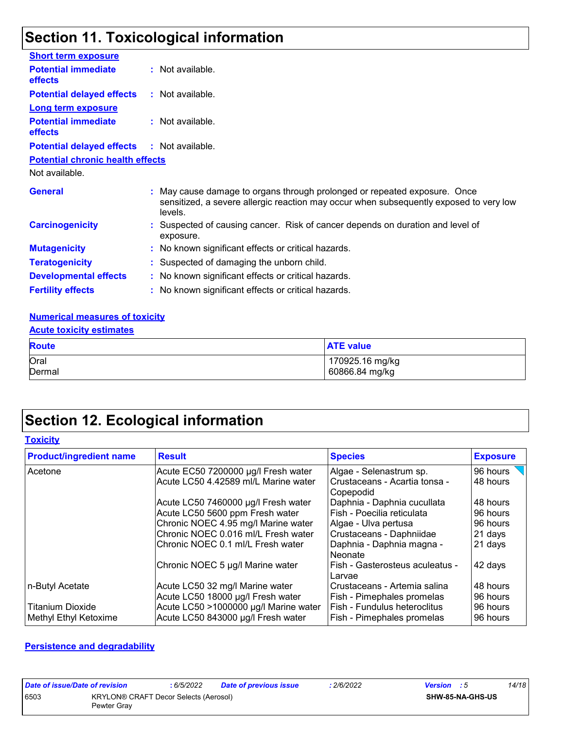# **Section 11. Toxicological information**

| <b>Short term exposure</b>                   |                                                                                                                                                                                |
|----------------------------------------------|--------------------------------------------------------------------------------------------------------------------------------------------------------------------------------|
| <b>Potential immediate</b><br><b>effects</b> | : Not available.                                                                                                                                                               |
| <b>Potential delayed effects</b>             | : Not available.                                                                                                                                                               |
| <b>Long term exposure</b>                    |                                                                                                                                                                                |
| <b>Potential immediate</b><br><b>effects</b> | : Not available.                                                                                                                                                               |
| <b>Potential delayed effects</b>             | : Not available.                                                                                                                                                               |
| <b>Potential chronic health effects</b>      |                                                                                                                                                                                |
| Not available.                               |                                                                                                                                                                                |
| <b>General</b>                               | : May cause damage to organs through prolonged or repeated exposure. Once<br>sensitized, a severe allergic reaction may occur when subsequently exposed to very low<br>levels. |
| <b>Carcinogenicity</b>                       | : Suspected of causing cancer. Risk of cancer depends on duration and level of<br>exposure.                                                                                    |
| <b>Mutagenicity</b>                          | : No known significant effects or critical hazards.                                                                                                                            |
| <b>Teratogenicity</b>                        | : Suspected of damaging the unborn child.                                                                                                                                      |
| <b>Developmental effects</b>                 | : No known significant effects or critical hazards.                                                                                                                            |
| <b>Fertility effects</b>                     | : No known significant effects or critical hazards.                                                                                                                            |

#### **Numerical measures of toxicity**

| <b>Acute toxicity estimates</b>   |  |  |  |
|-----------------------------------|--|--|--|
| <b>ATE value</b>                  |  |  |  |
| 170925.16 mg/kg<br>60866.84 mg/kg |  |  |  |
|                                   |  |  |  |

# **Section 12. Ecological information**

| <b>Product/ingredient name</b> | <b>Result</b>                         | <b>Species</b>                               | <b>Exposure</b> |
|--------------------------------|---------------------------------------|----------------------------------------------|-----------------|
| Acetone                        | Acute EC50 7200000 µg/l Fresh water   | Algae - Selenastrum sp.                      | 96 hours        |
|                                | Acute LC50 4.42589 ml/L Marine water  | l Crustaceans - Acartia tonsa -<br>Copepodid | 48 hours        |
|                                | Acute LC50 7460000 µg/l Fresh water   | Daphnia - Daphnia cucullata                  | 48 hours        |
|                                | Acute LC50 5600 ppm Fresh water       | Fish - Poecilia reticulata                   | 96 hours        |
|                                | Chronic NOEC 4.95 mg/l Marine water   | Algae - Ulva pertusa                         | 96 hours        |
|                                | Chronic NOEC 0.016 ml/L Fresh water   | Crustaceans - Daphniidae                     | 21 days         |
|                                | Chronic NOEC 0.1 ml/L Fresh water     | Daphnia - Daphnia magna -<br>l Neonate       | 21 days         |
|                                | Chronic NOEC 5 µg/l Marine water      | Fish - Gasterosteus aculeatus -<br>Larvae    | 42 days         |
| n-Butyl Acetate                | Acute LC50 32 mg/l Marine water       | Crustaceans - Artemia salina                 | 48 hours        |
|                                | Acute LC50 18000 µg/l Fresh water     | Fish - Pimephales promelas                   | 96 hours        |
| <b>Titanium Dioxide</b>        | Acute LC50 >1000000 µg/l Marine water | Fish - Fundulus heteroclitus                 | 96 hours        |
| Methyl Ethyl Ketoxime          | Acute LC50 843000 µg/l Fresh water    | <b>Fish - Pimephales promelas</b>            | 96 hours        |

#### **Persistence and degradability**

| Date of issue/Date of revision |                                                      | 6/5/2022 | <b>Date of previous issue</b> | : 2/6/2022 | <b>Version</b> : 5 | 14/18 |
|--------------------------------|------------------------------------------------------|----------|-------------------------------|------------|--------------------|-------|
| 6503                           | KRYLON® CRAFT Decor Selects (Aerosol)<br>Pewter Gray |          |                               |            | SHW-85-NA-GHS-US   |       |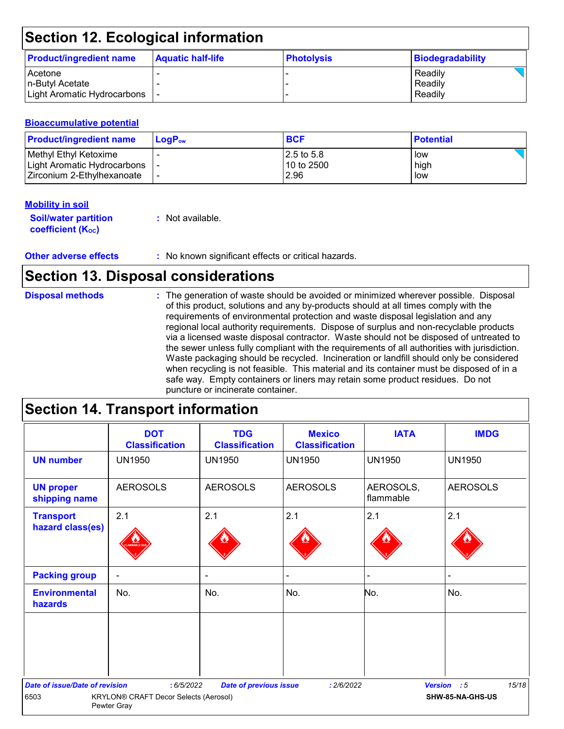# **Section 12. Ecological information**

| <b>Product/ingredient name</b> | <b>Aquatic half-life</b> | <b>Photolysis</b> | Biodegradability |
|--------------------------------|--------------------------|-------------------|------------------|
| Acetone                        |                          |                   | Readily          |
| In-Butvl Acetate               |                          |                   | Readily          |
| Light Aromatic Hydrocarbons    |                          |                   | Readily          |

#### **Bioaccumulative potential**

| <b>Product/ingredient name</b>                         | $\mathsf{LogP}_\mathsf{ow}$ | <b>BCF</b>                | <b>Potential</b> |
|--------------------------------------------------------|-----------------------------|---------------------------|------------------|
| Methyl Ethyl Ketoxime<br>  Light Aromatic Hydrocarbons |                             | 12.5 to 5.8<br>10 to 2500 | low<br>high      |
| l Zirconium 2-Ethvlhexanoate_                          |                             | 2.96                      | low              |

#### **Mobility in soil**

| <b>Soil/water partition</b> | : Not available. |
|-----------------------------|------------------|
| <b>coefficient (Koc)</b>    |                  |

# **Section 13. Disposal considerations**

| <b>Disposal methods</b> | : The generation of waste should be avoided or minimized wherever possible. Disposal<br>of this product, solutions and any by-products should at all times comply with the<br>requirements of environmental protection and waste disposal legislation and any<br>regional local authority requirements. Dispose of surplus and non-recyclable products<br>via a licensed waste disposal contractor. Waste should not be disposed of untreated to<br>the sewer unless fully compliant with the requirements of all authorities with jurisdiction.<br>Waste packaging should be recycled. Incineration or landfill should only be considered<br>when recycling is not feasible. This material and its container must be disposed of in a<br>safe way. Empty containers or liners may retain some product residues. Do not |
|-------------------------|-------------------------------------------------------------------------------------------------------------------------------------------------------------------------------------------------------------------------------------------------------------------------------------------------------------------------------------------------------------------------------------------------------------------------------------------------------------------------------------------------------------------------------------------------------------------------------------------------------------------------------------------------------------------------------------------------------------------------------------------------------------------------------------------------------------------------|
|                         | puncture or incinerate container.                                                                                                                                                                                                                                                                                                                                                                                                                                                                                                                                                                                                                                                                                                                                                                                       |

# **Section 14. Transport information**

|                                       | <b>DOT</b><br><b>Classification</b>                         | <b>TDG</b><br><b>Classification</b> | <b>Mexico</b><br><b>Classification</b> | <b>IATA</b>            | <b>IMDG</b>          |
|---------------------------------------|-------------------------------------------------------------|-------------------------------------|----------------------------------------|------------------------|----------------------|
| <b>UN number</b>                      | <b>UN1950</b>                                               | <b>UN1950</b>                       | <b>UN1950</b>                          | <b>UN1950</b>          | <b>UN1950</b>        |
| <b>UN proper</b><br>shipping name     | <b>AEROSOLS</b>                                             | <b>AEROSOLS</b>                     | <b>AEROSOLS</b>                        | AEROSOLS,<br>flammable | <b>AEROSOLS</b>      |
| <b>Transport</b><br>hazard class(es)  | 2.1                                                         | 2.1                                 | 2.1                                    | 2.1                    | 2.1                  |
| <b>Packing group</b>                  | $\overline{\phantom{a}}$                                    | $\blacksquare$                      |                                        | -                      |                      |
| <b>Environmental</b><br>hazards       | No.                                                         | No.                                 | No.                                    | No.                    | No.                  |
|                                       |                                                             |                                     |                                        |                        |                      |
| <b>Date of issue/Date of revision</b> | : 6/5/2022                                                  | <b>Date of previous issue</b>       | : 2/6/2022                             |                        | 15/18<br>Version : 5 |
| 6503                                  | <b>KRYLON® CRAFT Decor Selects (Aerosol)</b><br>Pewter Gray |                                     |                                        |                        | SHW-85-NA-GHS-US     |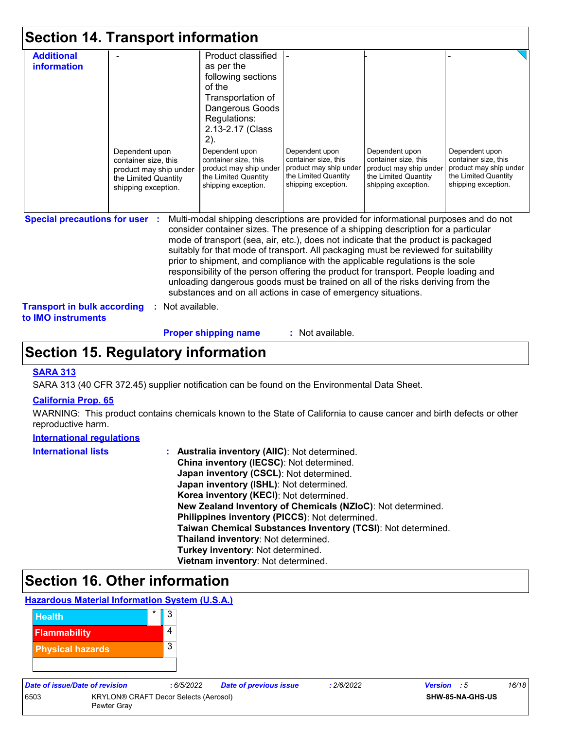|                                                                                                          | <b>Section 14. Transport information</b>                                                                        |                                                                                                                                                                                                                                                                                                                                                                                                                                                                                                                                                                                                                                                                                     |                                                                                                                 |                                                                                                                 |                                                                                                                 |
|----------------------------------------------------------------------------------------------------------|-----------------------------------------------------------------------------------------------------------------|-------------------------------------------------------------------------------------------------------------------------------------------------------------------------------------------------------------------------------------------------------------------------------------------------------------------------------------------------------------------------------------------------------------------------------------------------------------------------------------------------------------------------------------------------------------------------------------------------------------------------------------------------------------------------------------|-----------------------------------------------------------------------------------------------------------------|-----------------------------------------------------------------------------------------------------------------|-----------------------------------------------------------------------------------------------------------------|
| <b>Additional</b><br>information                                                                         | Dependent upon<br>container size, this<br>product may ship under<br>the Limited Quantity<br>shipping exception. | Product classified<br>as per the<br>following sections<br>of the<br>Transportation of<br>Dangerous Goods<br>Regulations:<br>2.13-2.17 (Class<br>2).<br>Dependent upon<br>container size, this<br>product may ship under<br>the Limited Quantity<br>shipping exception.                                                                                                                                                                                                                                                                                                                                                                                                              | Dependent upon<br>container size, this<br>product may ship under<br>the Limited Quantity<br>shipping exception. | Dependent upon<br>container size, this<br>product may ship under<br>the Limited Quantity<br>shipping exception. | Dependent upon<br>container size, this<br>product may ship under<br>the Limited Quantity<br>shipping exception. |
| <b>Special precautions for user :</b><br><b>Transport in bulk according</b><br>to <b>IMO</b> instruments | Not available.                                                                                                  | Multi-modal shipping descriptions are provided for informational purposes and do not<br>consider container sizes. The presence of a shipping description for a particular<br>mode of transport (sea, air, etc.), does not indicate that the product is packaged<br>suitably for that mode of transport. All packaging must be reviewed for suitability<br>prior to shipment, and compliance with the applicable regulations is the sole<br>responsibility of the person offering the product for transport. People loading and<br>unloading dangerous goods must be trained on all of the risks deriving from the<br>substances and on all actions in case of emergency situations. |                                                                                                                 |                                                                                                                 |                                                                                                                 |

**Proper shipping name :**

: Not available.

## **Section 15. Regulatory information**

#### **SARA 313**

SARA 313 (40 CFR 372.45) supplier notification can be found on the Environmental Data Sheet.

#### **California Prop. 65**

WARNING: This product contains chemicals known to the State of California to cause cancer and birth defects or other reproductive harm.

#### **International regulations**

| <b>International lists</b> | : Australia inventory (AIIC): Not determined.<br>China inventory (IECSC): Not determined.<br>Japan inventory (CSCL): Not determined.<br>Japan inventory (ISHL): Not determined.<br>Korea inventory (KECI): Not determined. |
|----------------------------|----------------------------------------------------------------------------------------------------------------------------------------------------------------------------------------------------------------------------|
|                            | New Zealand Inventory of Chemicals (NZIoC): Not determined.<br>Philippines inventory (PICCS): Not determined.                                                                                                              |
|                            | Taiwan Chemical Substances Inventory (TCSI): Not determined.<br>Thailand inventory: Not determined.<br>Turkey inventory: Not determined.                                                                                   |
|                            | Vietnam inventory: Not determined.                                                                                                                                                                                         |

# **Section 16. Other information**

#### **Hazardous Material Information System (U.S.A.)**



| Date of issue/Date of revision |                                                      | : 6/5/2022 | <b>Date of previous issue</b> | : 2/6/2022 | <b>Version</b> : 5 |                  | 16/18 |
|--------------------------------|------------------------------------------------------|------------|-------------------------------|------------|--------------------|------------------|-------|
| 6503                           | KRYLON® CRAFT Decor Selects (Aerosol)<br>Pewter Grav |            |                               |            |                    | SHW-85-NA-GHS-US |       |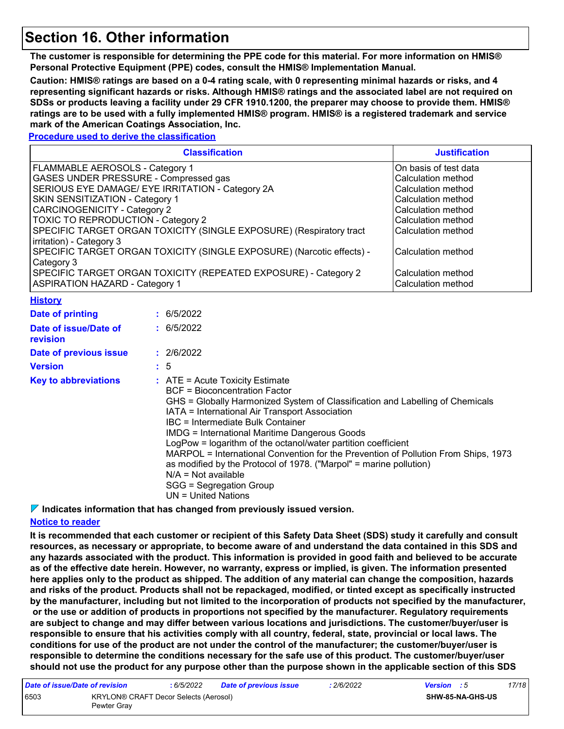### **Section 16. Other information**

**The customer is responsible for determining the PPE code for this material. For more information on HMIS® Personal Protective Equipment (PPE) codes, consult the HMIS® Implementation Manual.**

**Caution: HMIS® ratings are based on a 0-4 rating scale, with 0 representing minimal hazards or risks, and 4 representing significant hazards or risks. Although HMIS® ratings and the associated label are not required on SDSs or products leaving a facility under 29 CFR 1910.1200, the preparer may choose to provide them. HMIS® ratings are to be used with a fully implemented HMIS® program. HMIS® is a registered trademark and service mark of the American Coatings Association, Inc.**

**Procedure used to derive the classification**

|                                                                                                                                                                                                                                                                                                                                                                                                                                                                                                                                                           | <b>Justification</b>                                                                                                                                                                                                                                                                                                                                                                                                                                                                                                                                                   |  |  |  |
|-----------------------------------------------------------------------------------------------------------------------------------------------------------------------------------------------------------------------------------------------------------------------------------------------------------------------------------------------------------------------------------------------------------------------------------------------------------------------------------------------------------------------------------------------------------|------------------------------------------------------------------------------------------------------------------------------------------------------------------------------------------------------------------------------------------------------------------------------------------------------------------------------------------------------------------------------------------------------------------------------------------------------------------------------------------------------------------------------------------------------------------------|--|--|--|
| FLAMMABLE AEROSOLS - Category 1<br>GASES UNDER PRESSURE - Compressed gas<br>SERIOUS EYE DAMAGE/ EYE IRRITATION - Category 2A<br>SKIN SENSITIZATION - Category 1<br><b>CARCINOGENICITY - Category 2</b><br><b>TOXIC TO REPRODUCTION - Category 2</b><br>SPECIFIC TARGET ORGAN TOXICITY (SINGLE EXPOSURE) (Respiratory tract<br>irritation) - Category 3<br>SPECIFIC TARGET ORGAN TOXICITY (SINGLE EXPOSURE) (Narcotic effects) -<br>Category 3<br>SPECIFIC TARGET ORGAN TOXICITY (REPEATED EXPOSURE) - Category 2<br><b>ASPIRATION HAZARD - Category 1</b> | On basis of test data<br>Calculation method<br>Calculation method<br>Calculation method<br>Calculation method<br>Calculation method<br>Calculation method<br>Calculation method<br>Calculation method<br>Calculation method                                                                                                                                                                                                                                                                                                                                            |  |  |  |
| <b>History</b>                                                                                                                                                                                                                                                                                                                                                                                                                                                                                                                                            |                                                                                                                                                                                                                                                                                                                                                                                                                                                                                                                                                                        |  |  |  |
| <b>Date of printing</b>                                                                                                                                                                                                                                                                                                                                                                                                                                                                                                                                   | : 6/5/2022                                                                                                                                                                                                                                                                                                                                                                                                                                                                                                                                                             |  |  |  |
| Date of issue/Date of<br>revision                                                                                                                                                                                                                                                                                                                                                                                                                                                                                                                         | : 6/5/2022                                                                                                                                                                                                                                                                                                                                                                                                                                                                                                                                                             |  |  |  |
| Date of previous issue                                                                                                                                                                                                                                                                                                                                                                                                                                                                                                                                    | : 2/6/2022                                                                                                                                                                                                                                                                                                                                                                                                                                                                                                                                                             |  |  |  |
| <b>Version</b>                                                                                                                                                                                                                                                                                                                                                                                                                                                                                                                                            | : 5                                                                                                                                                                                                                                                                                                                                                                                                                                                                                                                                                                    |  |  |  |
| <b>Key to abbreviations</b>                                                                                                                                                                                                                                                                                                                                                                                                                                                                                                                               | $:$ ATE = Acute Toxicity Estimate<br><b>BCF = Bioconcentration Factor</b><br>GHS = Globally Harmonized System of Classification and Labelling of Chemicals<br>IATA = International Air Transport Association<br><b>IBC</b> = Intermediate Bulk Container<br><b>IMDG = International Maritime Dangerous Goods</b><br>LogPow = logarithm of the octanol/water partition coefficient<br>MARPOL = International Convention for the Prevention of Pollution From Ships, 1973<br>as modified by the Protocol of 1978. ("Marpol" = marine pollution)<br>$N/A = Not available$ |  |  |  |

SGG = Segregation Group

#### UN = United Nations

**Indicates information that has changed from previously issued version.**

#### **Notice to reader**

**It is recommended that each customer or recipient of this Safety Data Sheet (SDS) study it carefully and consult resources, as necessary or appropriate, to become aware of and understand the data contained in this SDS and any hazards associated with the product. This information is provided in good faith and believed to be accurate as of the effective date herein. However, no warranty, express or implied, is given. The information presented here applies only to the product as shipped. The addition of any material can change the composition, hazards and risks of the product. Products shall not be repackaged, modified, or tinted except as specifically instructed by the manufacturer, including but not limited to the incorporation of products not specified by the manufacturer, or the use or addition of products in proportions not specified by the manufacturer. Regulatory requirements are subject to change and may differ between various locations and jurisdictions. The customer/buyer/user is responsible to ensure that his activities comply with all country, federal, state, provincial or local laws. The conditions for use of the product are not under the control of the manufacturer; the customer/buyer/user is responsible to determine the conditions necessary for the safe use of this product. The customer/buyer/user should not use the product for any purpose other than the purpose shown in the applicable section of this SDS** 

| Date of issue/Date of revision |                                                      | : 6/5/2022 | <b>Date of previous issue</b> | 2/6/2022                | <b>Version</b> : 5 |  | 17/18 |
|--------------------------------|------------------------------------------------------|------------|-------------------------------|-------------------------|--------------------|--|-------|
| 6503                           | KRYLON® CRAFT Decor Selects (Aerosol)<br>Pewter Grav |            |                               | <b>SHW-85-NA-GHS-US</b> |                    |  |       |